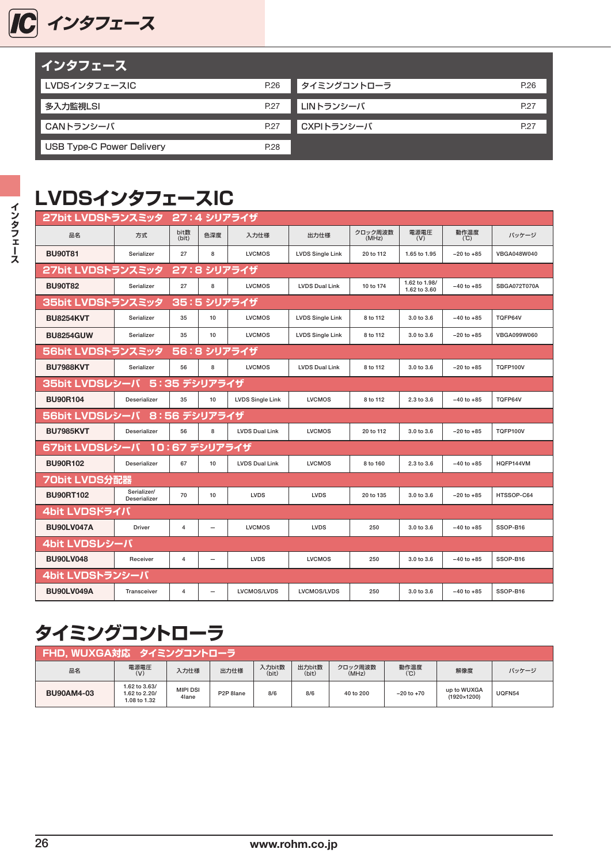

| <u>  インタフェース  </u>               |      |             |      |
|----------------------------------|------|-------------|------|
| LVDSインタフェースIC                    | P.26 | タイミングコントローラ | P.26 |
| 多入力監視LSI                         | P.27 | LINトランシーバ   | P.27 |
| CANトランシーバ                        | P.27 | CXPIトランシーバ  | P.27 |
| <b>USB Type-C Power Delivery</b> | P.28 |             |      |

#### **LVDSインタフェースIC**

| 27bit LVDSトランスミッタ                |                                |                         |                          | 27:4 シリアライザ             |                         |                  |                               |                |                     |  |  |
|----------------------------------|--------------------------------|-------------------------|--------------------------|-------------------------|-------------------------|------------------|-------------------------------|----------------|---------------------|--|--|
| 品名                               | 方式                             | bit数<br>(bit)           | 色深度                      | 入力仕様                    | 出力仕様                    | クロック周波数<br>(MHz) | 電源電圧<br>(V)                   | 動作温度<br>(C)    | パッケージ               |  |  |
| <b>BU90T81</b>                   | Serializer                     | 27                      | 8                        | <b>LVCMOS</b>           | <b>LVDS Single Link</b> | 20 to 112        | 1.65 to 1.95                  | $-20$ to $+85$ | VBGA048W040         |  |  |
| 27bit LVDSトランスミッタ                |                                |                         |                          | 27:8 シリアライザ             |                         |                  |                               |                |                     |  |  |
| <b>BU90T82</b>                   | Serializer                     | 27                      | 8                        | <b>LVCMOS</b>           | <b>LVDS Dual Link</b>   | 10 to 174        | 1.62 to 1.98/<br>1.62 to 3.60 | $-40$ to $+85$ | <b>SBGA072T070A</b> |  |  |
| 35:5 シリアライザ<br>35bit LVDSトランスミッタ |                                |                         |                          |                         |                         |                  |                               |                |                     |  |  |
| <b>BU8254KVT</b>                 | Serializer                     | 35                      | 10                       | <b>LVCMOS</b>           | <b>LVDS Single Link</b> | 8 to 112         | 3.0 to 3.6                    | $-40$ to $+85$ | TQFP64V             |  |  |
| <b>BU8254GUW</b>                 | Serializer                     | 35                      | 10                       | <b>LVCMOS</b>           | <b>LVDS Single Link</b> | 8 to 112         | 3.0 to 3.6                    | $-20$ to $+85$ | VBGA099W060         |  |  |
| 56bit LVDSトランスミッタ                |                                | 56:8                    |                          | シリアライザ                  |                         |                  |                               |                |                     |  |  |
| <b>BU7988KVT</b>                 | Serializer                     | 56                      | 8                        | <b>LVCMOS</b>           | <b>LVDS Dual Link</b>   | 8 to 112         | 3.0 to 3.6                    | $-20$ to $+85$ | <b>TQFP100V</b>     |  |  |
|                                  | 35bit LVDSレシーバ<br>5:35 デシリアライザ |                         |                          |                         |                         |                  |                               |                |                     |  |  |
| <b>BU90R104</b>                  | <b>Deserializer</b>            | 35                      | 10                       | <b>LVDS Single Link</b> | <b>LVCMOS</b>           | 8 to 112         | 2.3 to 3.6                    | $-40$ to $+85$ | TQFP64V             |  |  |
| 56bit LVDSレシーバ                   |                                | 8:56 デシリアライザ            |                          |                         |                         |                  |                               |                |                     |  |  |
| <b>BU7985KVT</b>                 | <b>Deserializer</b>            | 56                      | 8                        | <b>LVDS Dual Link</b>   | <b>LVCMOS</b>           | 20 to 112        | 3.0 to 3.6                    | $-20$ to $+85$ | <b>TQFP100V</b>     |  |  |
| 67bit LVDSレシーバ 10:67 デシリアライザ     |                                |                         |                          |                         |                         |                  |                               |                |                     |  |  |
| <b>BU90R102</b>                  | <b>Deserializer</b>            | 67                      | 10                       | <b>LVDS Dual Link</b>   | <b>LVCMOS</b>           | 8 to 160         | 2.3 to 3.6                    | $-40$ to $+85$ | HQFP144VM           |  |  |
| 70bit LVDS分配器                    |                                |                         |                          |                         |                         |                  |                               |                |                     |  |  |
| <b>BU90RT102</b>                 | Serializer/<br>Deserializer    | 70                      | 10                       | <b>LVDS</b>             | <b>LVDS</b>             | 20 to 135        | 3.0 to 3.6                    | $-20$ to $+85$ | HTSSOP-C64          |  |  |
| 4bit LVDSドライバ                    |                                |                         |                          |                         |                         |                  |                               |                |                     |  |  |
| <b>BU90LV047A</b>                | <b>Driver</b>                  | $\overline{\mathbf{4}}$ | $\overline{\phantom{0}}$ | <b>LVCMOS</b>           | <b>LVDS</b>             | 250              | 3.0 to 3.6                    | $-40$ to $+85$ | SSOP-B16            |  |  |
| 4bit LVDSレシーバ                    |                                |                         |                          |                         |                         |                  |                               |                |                     |  |  |
| <b>BU90LV048</b>                 | Receiver                       | 4                       | -                        | <b>LVDS</b>             | <b>LVCMOS</b>           | 250              | 3.0 to 3.6                    | $-40$ to $+85$ | SSOP-B16            |  |  |
| 4bit LVDSトランシーバ                  |                                |                         |                          |                         |                         |                  |                               |                |                     |  |  |
| <b>BU90LV049A</b>                | Transceiver                    | 4                       | $\overline{\phantom{0}}$ | LVCMOS/LVDS             | LVCMOS/LVDS             | 250              | 3.0 to 3.6                    | $-40$ to $+85$ | SSOP-B16            |  |  |

#### **タイミングコントローラ**

| FHD、WUXGA対応 タイミングコントローラ                                                                                                    |                                                |                          |           |     |     |           |                |                                     |        |  |  |
|----------------------------------------------------------------------------------------------------------------------------|------------------------------------------------|--------------------------|-----------|-----|-----|-----------|----------------|-------------------------------------|--------|--|--|
| 動作温度<br>入力bit数<br>出力bit数<br>電源電圧<br>クロック周波数<br>品名<br>出力仕様<br>入力仕様<br>解像度<br>パッケージ<br>(bit)<br>(C)<br>(bit)<br>(V)<br>(MHz) |                                                |                          |           |     |     |           |                |                                     |        |  |  |
| <b>BU90AM4-03</b>                                                                                                          | 1.62 to 3.63/<br>1.62 to 2.20/<br>1.08 to 1.32 | <b>MIPI DSI</b><br>4lane | P2P 8lane | 8/6 | 8/6 | 40 to 200 | $-20$ to $+70$ | up to WUXGA<br>$(1920 \times 1200)$ | UQFN54 |  |  |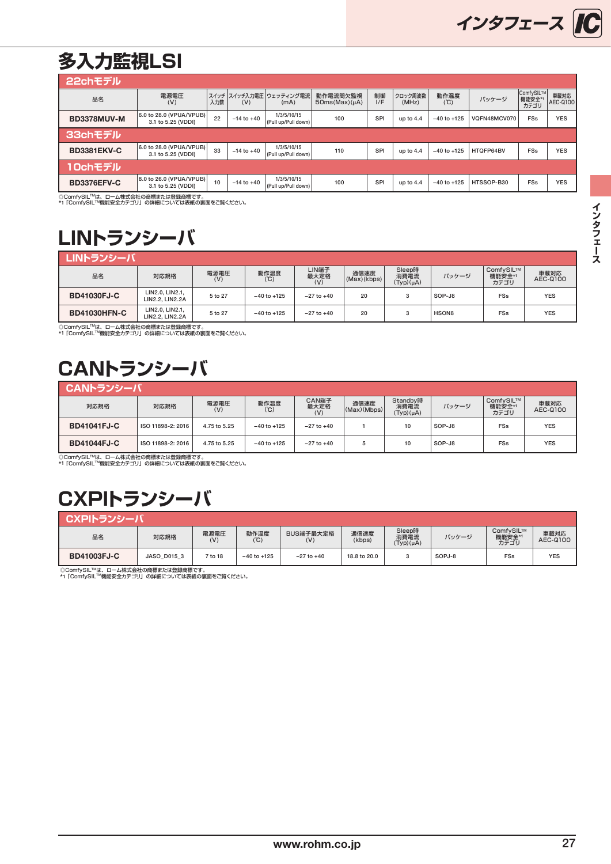#### <span id="page-1-0"></span>**多入力監視LSI**

| 22chモデル                           |                                               |     |                |                                    |                                |           |                  |                 |              |                             |                  |
|-----------------------------------|-----------------------------------------------|-----|----------------|------------------------------------|--------------------------------|-----------|------------------|-----------------|--------------|-----------------------------|------------------|
| 品名                                | 電源電圧<br>(V)                                   | 入力数 | (V)            | スイッチ スイッチ入力電圧 ウェッティング電流<br>(mA)    | 動作電流間欠監視<br>$50ms(Max)(\mu A)$ | 制御<br>I/F | クロック周波数<br>(MHz) | 動作温度<br>(°C)    | バッケージ        | ComfySIL™<br>機能安全*1<br>カテゴリ | 車載対応<br>AEC-Q100 |
| BD3378MUV-M                       | 6.0 to 28.0 (VPUA/VPUB)<br>3.1 to 5.25 (VDDI) | 22  | $-14$ to $+40$ | 1/3/5/10/15<br>(Pull up/Pull down) | 100                            | SPI       | up to $4.4$      | $-40$ to $+125$ | VQFN48MCV070 | <b>FSs</b>                  | <b>YES</b>       |
| 33chモデル                           |                                               |     |                |                                    |                                |           |                  |                 |              |                             |                  |
| <b>BD3381EKV-C</b>                | 6.0 to 28.0 (VPUA/VPUB)<br>3.1 to 5.25 (VDDI) | 33  | $-14$ to $+40$ | 1/3/5/10/15<br>(Pull up/Pull down) | 110                            | SPI       | up to $4.4$      | $-40$ to $+125$ | HTQFP64BV    | <b>FSs</b>                  | <b>YES</b>       |
| 10chモデル                           |                                               |     |                |                                    |                                |           |                  |                 |              |                             |                  |
| <b>BD3376EFV-C</b>                | 8.0 to 26.0 (VPUA/VPUB)<br>3.1 to 5.25 (VDDI) | 10  | $-14$ to $+40$ | 1/3/5/10/15<br>(Pull up/Pull down) | 100                            | SPI       | up to $4.4$      | $-40$ to $+125$ | HTSSOP-B30   | <b>FSs</b>                  | <b>YES</b>       |
| ◎Comf: CIL™+ ロ / 世式会社の英語主たけ登録英語スナ |                                               |     |                |                                    |                                |           |                  |                 |              |                             |                  |

◎ComfySIL™は、ローム株式会社の商標または登録商標です。<br>\*1 「ComfySIL™機能安全カテゴリ」の詳細については表紙の裏面をご覧ください。

## **LINトランシーバ**

| ┃ LINトランシーバ         |                                           |             |                 |                      |                     |                                  |        |                             |                  |
|---------------------|-------------------------------------------|-------------|-----------------|----------------------|---------------------|----------------------------------|--------|-----------------------------|------------------|
| 品名                  | 対応規格                                      | 電源電圧<br>(V) | 動作温度<br>(C)     | LIN端子<br>最大定格<br>(V) | 通信速度<br>(Max)(kbps) | Sleep時<br>消費電流<br>$(Typ)(\mu A)$ | パッケージ  | ComfvSIL™<br>機能安全*1<br>カテゴリ | 車載対応<br>AEC-Q100 |
| <b>BD41030FJ-C</b>  | LIN2.0, LIN2.1,<br>LIN2.2. LIN2.2A        | 5 to 27     | $-40$ to $+125$ | $-27$ to $+40$       | 20                  |                                  | SOP-J8 | FSs                         | <b>YES</b>       |
| <b>BD41030HFN-C</b> | LIN2.0, LIN2.1,<br><b>LIN2.2. LIN2.2A</b> | 5 to 27     | $-40$ to $+125$ | $-27$ to $+40$       | 20                  |                                  | HSON8  | FSs                         | <b>YES</b>       |

◎ComfySIL™は、ローム株式会社の商標または登録商標です。<br>\*1 「ComfySIL™機能安全カテゴリ」の詳細については表紙の裏面をご覧ください。

# **CANトランシーバ**

| CANトランシーバ」         |                   |              |                 |                      |                     |                                    |        |                             |                  |  |  |
|--------------------|-------------------|--------------|-----------------|----------------------|---------------------|------------------------------------|--------|-----------------------------|------------------|--|--|
| 対応規格               | 対応規格              | 電源電圧<br>(V)  | 動作温度<br>(C)     | CAN端子<br>最大定格<br>(V) | 通信速度<br>(Max)(Mbps) | Standby時<br>消費電流<br>$(Typ)(\mu A)$ | パッケージ  | ComfySIL™<br>機能安全*1<br>カテゴリ | 車載対応<br>AEC-Q100 |  |  |
| <b>BD41041FJ-C</b> | ISO 11898-2: 2016 | 4.75 to 5.25 | $-40$ to $+125$ | $-27$ to $+40$       |                     | 10                                 | SOP-J8 | <b>FSs</b>                  | <b>YES</b>       |  |  |
| <b>BD41044FJ-C</b> | ISO 11898-2: 2016 | 4.75 to 5.25 | $-40$ to $+125$ | $-27$ to $+40$       |                     | 10                                 | SOP-J8 | <b>FSs</b>                  | <b>YES</b>       |  |  |

◎ComfySIL™は、ローム株式会社の商標または登録商標です。<br>\*1 「ComfySIL™機能安全カテゴリ」の詳細については表紙の裏面をご覧ください。

## **CXPIトランシーバ**

| CXPIトランシー          |             |             |                 |                             |                |                                  |        |                             |                  |
|--------------------|-------------|-------------|-----------------|-----------------------------|----------------|----------------------------------|--------|-----------------------------|------------------|
| 品名                 | 対応規格        | 電源電圧<br>(V) | 動作温度<br>(C)     | BUS端子最大定格<br>$(\mathsf{V})$ | 通信速度<br>(kbps) | Sleep時<br>消費電流<br>$(Typ)(\mu A)$ | パッケージ  | ComfvSIL™<br>機能安全*1<br>カテゴリ | 車載対応<br>AEC-Q100 |
| <b>BD41003FJ-C</b> | JASO D015 3 | 7 to 18     | $-40$ to $+125$ | $-27$ to $+40$              | 18.8 to 20.0   | ◠                                | SOPJ-8 | FSs                         | <b>YES</b>       |

◎ComfySIL™は、ローム株式会社の商標または登録商標です。<br>\*1「ComfySIL™機能安全カテゴリ」の詳細については表紙の裏面をご覧ください。